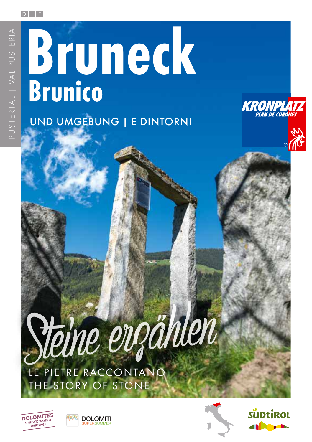#### $D$   $|$   $|$   $E$

# UND UMGEBUNG | E DINTORNI **Bruneck Brunico**



*Steine erzählen* LE PIETRE RACCONTANO THE STORY OF STONE







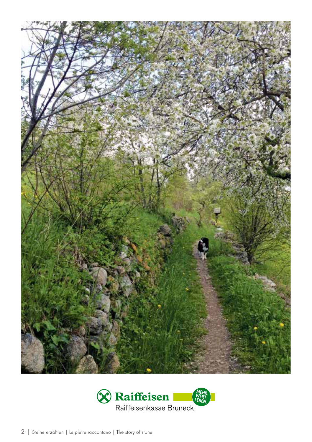

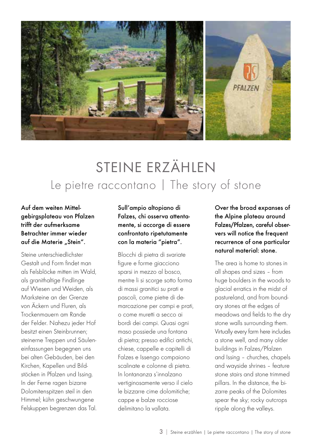

# STEINE ERZÄHLEN Le pietre raccontano | The story of stone

Auf dem weiten Mittelgebirgsplateau von Pfalzen trifft der aufmerksame Betrachter immer wieder auf die Materie "Stein".

Steine unterschiedlichster Gestalt und Form findet man als Felsblöcke mitten im Wald, als granithaltige Findlinge auf Wiesen und Weiden, als Marksteine an der Grenze von Äckern und Fluren, als Trockenmauern am Rande der Felder. Nahezu jeder Hof besitzt einen Steinbrunnen; steinerne Treppen und Säuleneinfassungen begegnen uns bei alten Gebäuden, bei den Kirchen, Kapellen und Bildstöcken in Pfalzen und Issing. In der Ferne ragen bizarre Dolomitenspitzen steil in den Himmel; kühn geschwungene Felskuppen begrenzen das Tal.

Sull'ampio altopiano di Falzes, chi osserva attentamente, si accorge di essere confrontato ripetutamente con la materia "pietra".

Blocchi di pietra di svariate figure e forme giacciono sparsi in mezzo al bosco, mentre li si scorge sotto forma di massi granitici su prati e pascoli, come pietre di demarcazione per campi e prati, o come muretti a secco ai bordi dei campi. Quasi ogni maso possiede una fontana di pietra; presso edifici antichi, chiese, cappelle e capitelli di Falzes e Issengo compaiono scalinate e colonne di pietra. In lontananza s'innalzano vertiginosamente verso il cielo le bizzarre cime dolomitiche; cappe e balze rocciose delimitano la vallata.

Over the broad expanses of the Alpine plateau around Falzes/Pfalzen, careful observers will notice the frequent recurrence of one particular natural material: stone.

The area is home to stones in all shapes and sizes – from huge boulders in the woods to glacial erratics in the midst of pastureland, and from boundary stones at the edges of meadows and fields to the dry stone walls surrounding them. Virtually every farm here includes a stone well, and many older buildings in Falzes/Pfalzen and Issing – churches, chapels and wayside shrines – feature stone stairs and stone trimmed pillars. In the distance, the bizarre peaks of the Dolomites spear the sky; rocky outcrops ripple along the valleys.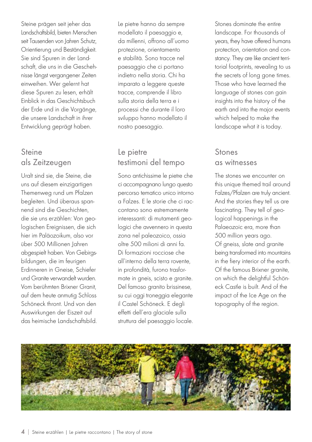Steine prägen seit jeher das Landschaftsbild, bieten Menschen seit Tausenden von Jahren Schutz, Orientierung und Beständigkeit. Sie sind Spuren in der Landschaft, die uns in die Geschehnisse längst vergangener Zeiten einweihen. Wer gelernt hat diese Spuren zu lesen, erhält Einblick in das Geschichtsbuch der Erde und in die Vorgänge, die unsere Landschaft in ihrer Entwicklung geprägt haben.

## Steine als Zeitzeugen

Uralt sind sie, die Steine, die uns auf diesem einzigartigen Themenweg rund um Pfalzen begleiten. Und überaus spannend sind die Geschichten, die sie uns erzählen: Von geologischen Ereignissen, die sich hier im Paläozoikum, also vor über 500 Millionen Jahren abgespielt haben. Von Gebirgsbildungen, die im feurigen Erdinneren in Gneise, Schiefer und Granite verwandelt wurden. Vom berühmten Brixner Granit, auf dem heute anmutig Schloss Schöneck thront. Und von den Auswirkungen der Eiszeit auf das heimische Landschaftsbild. Le pietre hanno da sempre modellato il paesaggio e, da millenni, offrono all'uomo protezione, orientamento e stabilità. Sono tracce nel paesaggio che ci portano indietro nella storia. Chi ha imparato a leggere queste tracce, comprende il libro sulla storia della terra e i processi che durante il loro sviluppo hanno modellato il nostro paesaggio.

#### Le pietre testimoni del tempo

Sono antichissime le pietre che ci accompagnano lungo questo percorso tematico unico intorno a Falzes. E le storie che ci raccontano sono estremamente interessanti: di mutamenti geologici che avvennero in questa zona nel paleozoico, ossia oltre 500 milioni di anni fa. Di formazioni rocciose che all'interno della terra rovente, in profondità, furono trasformate in gneis, scisto e granite. Del famoso granito brissinese, su cui oggi troneggia elegante il Castel Schöneck. E degli effetti dell'era glaciale sulla struttura del paesaggio locale.

Stones dominate the entire landscape. For thousands of years, they have offered humans protection, orientation and constancy. They are like ancient territorial footprints, revealing to us the secrets of long gone times. Those who have learned the language of stones can gain insights into the history of the earth and into the major events which helped to make the landscape what it is today.

## Stones as witnesses

The stones we encounter on this unique themed trail around Falzes/Pfalzen are truly ancient. And the stories they tell us are fascinating. They tell of geological happenings in the Palaeozoic era, more than 500 million years ago. Of gneiss, slate and granite being transformed into mountains in the fiery interior of the earth. Of the famous Brixner granite, on which the delightful Schöneck Castle is built. And of the impact of the Ice Age on the topography of the region.

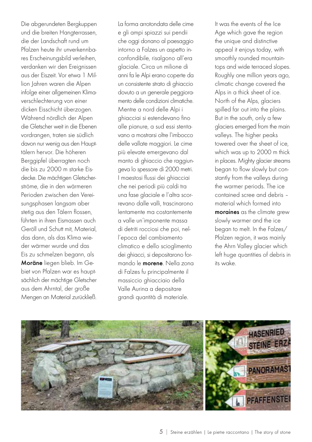Die abgerundeten Bergkuppen und die breiten Hangterrassen, die der Landschaft rund um Pfalzen heute ihr unverkennbares Erscheinungsbild verleihen, verdanken wir den Ereignissen aus der Eiszeit. Vor etwa 1 Million Jahren waren die Alpen infolge einer allgemeinen Klimaverschlechterung von einer dicken Eisschicht überzogen. Während nördlich der Alpen die Gletscher weit in die Ebenen vordrangen, traten sie südlich davon nur wenig aus den Haupttälern hervor. Die höheren Berggipfel überragten noch die bis zu 2000 m starke Eisdecke. Die mächtigen Gletscherströme, die in den wärmeren Perioden zwischen den Vereisungsphasen langsam aber stetig aus den Tälern flossen, führten in ihren Eismassen auch Geröll und Schutt mit, Material, das dann, als das Klima wieder wärmer wurde und das Eis zu schmelzen begann, als Moräne liegen blieb. Im Gebiet von Pfalzen war es hauptsächlich der mächtige Gletscher aus dem Ahrntal, der große Mengen an Material zurückließ. La forma arrotondata delle cime e gli ampi spiazzi sui pendii che oggi donano al paesaggio intorno a Falzes un aspetto inconfondibile, risalgono all'era glaciale. Circa un milione di anni fa le Alpi erano coperte da un consistente strato di ghiaccio dovuto a un generale peggioramento delle condizioni climatiche. Mentre a nord delle Alpi i ghiacciai si estendevano fino alle pianure, a sud essi stentavano a mostrarsi oltre l'imbocco delle vallate maggiori. Le cime più elevate emergevano dal manto di ghiaccio che raggiungeva lo spessore di 2000 metri. I maestosi flussi dei ghiacciai che nei periodi più caldi tra una fase glaciale e l'altra scorrevano dalle valli, trascinarono lentamente ma costantemente a valle un'imponente massa di detriti rocciosi che poi, nell'epoca del cambiamento climatico e dello scioglimento dei ghiacci, si depositarono formando le morene. Nella zona di Falzes fu principalmente il massiccio ghiacciaio della Valle Aurina a depositare grandi quantità di materiale.

It was the events of the Ice Age which gave the region the unique and distinctive appeal it enjoys today, with smoothly rounded mountaintops and wide terraced slopes. Roughly one million years ago, climatic change covered the Alps in a thick sheet of ice. North of the Alps, glaciers spilled far out into the plains. But in the south, only a few glaciers emerged from the main valleys. The higher peaks towered over the sheet of ice, which was up to 2000 m thick in places. Mighty glacier streams began to flow slowly but constantly from the valleys during the warmer periods. The ice contained scree and debris – material which formed into moraines as the climate grew slowly warmer and the ice began to melt. In the Falzes/ Pfalzen region, it was mainly the Ahrn Valley glacier which left huge quantities of debris in its wake.

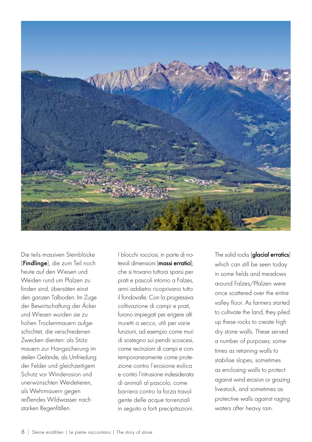

Die teils massiven Steinblöcke (Findlinge), die zum Teil noch heute auf den Wiesen und Weiden rund um Pfalzen zu finden sind, übersäten einst den ganzen Talboden. Im Zuge der Bewirtschaftung der Äcker und Wiesen wurden sie zu hohen Trockenmauern aufgeschichtet, die verschiedenen Zwecken dienten: als Stützmauern zur Hangsicherung im steilen Gelände, als Umfriedung der Felder und gleichzeitigem Schutz vor Winderosion und unerwünschten Weidetieren, als Wehrmauern gegen reißendes Wildwasser nach starken Regenfällen.

I blocchi rocciosi, in parte di notevoli dimensioni (massi erratici), che si trovano tuttora sparsi per prati e pascoli intorno a Falzes, anni addietro ricoprivano tutto il fondovalle. Con la progressiva coltivazione di campi e prati, furono impiegati per erigere alti muretti a secco, utili per varie funzioni, ad esempio come muri di sostegno sui pendii scoscesi, come recinzioni di campi e contemporaneamente come protezione contro l'erosione eolica e contro l'intrusione indesiderata di animali al pascolo, come barriera contro la forza travolgente delle acque torrenziali in seguito a forti precipitazioni.

The solid rocks (alacial erratics) which can still be seen today in some fields and meadows around Falzes/Pfalzen were once scattered over the entire valley floor. As farmers started to cultivate the land, they piled up these rocks to create high dry stone walls. These served a number of purposes; sometimes as retaining walls to stabilise slopes, sometimes as enclosing walls to protect against wind erosion or grazing livestock, and sometimes as protective walls against raging waters after heavy rain.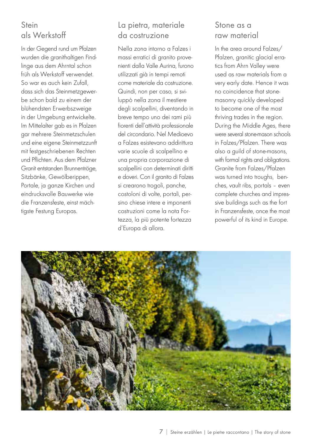# Stein als Werkstoff

In der Gegend rund um Pfalzen wurden die granithaltigen Findlinge aus dem Ahrntal schon früh als Werkstoff verwendet. So war es auch kein Zufall, dass sich das Steinmetzgewerbe schon bald zu einem der blühendsten Erwerbszweige in der Umgebung entwickelte. Im Mittelalter gab es in Pfalzen gar mehrere Steinmetzschulen und eine eigene Steinmetzzunft mit festgeschriebenen Rechten und Pflichten. Aus dem Pfalzner Granit entstanden Brunnentröge, Sitzbänke, Gewölberippen, Portale, ja ganze Kirchen und eindrucksvolle Bauwerke wie die Franzensfeste, einst mächtigste Festung Europas.

## La pietra, materiale da costruzione

Nella zona intorno a Falzes i massi erratici di granito provenienti dalla Valle Aurina, furono utilizzati già in tempi remoti come materiale da costruzione. Quindi, non per caso, si sviluppò nella zona il mestiere degli scalpellini, diventando in breve tempo uno dei rami più fiorenti dell'attività professionale del circondario. Nel Medioevo a Falzes esistevano addirittura varie scuole di scalpellino e una propria corporazione di scalpellini con determinati diritti e doveri. Con il granito di Falzes si crearono trogoli, panche, costoloni di volte, portali, persino chiese intere e imponenti costruzioni come la nota Fortezza, la più potente fortezza d'Europa di allora.

#### Stone as a raw material

In the area around Falzes/ Pfalzen, granitic glacial erratics from Ahrn Valley were used as raw materials from a very early date. Hence it was no coincidence that stonemasonry quickly developed to become one of the most thriving trades in the region. During the Middle Ages, there were several stone-mason schools in Falzes/Pfalzen. There was also a guild of stone-masons, with formal rights and obligations. Granite from Falzes/Pfalzen was turned into troughs, benches, vault ribs, portals – even complete churches and impressive buildings such as the fort in Franzensfeste, once the most powerful of its kind in Europe.

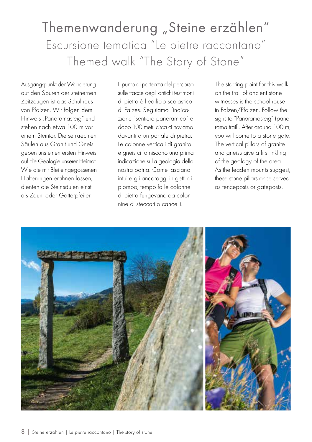# Themenwanderung "Steine erzählen" Escursione tematica "Le pietre raccontano" Themed walk "The Story of Stone"

Ausgangspunkt der Wanderung auf den Spuren der steinernen Zeitzeugen ist das Schulhaus von Pfalzen. Wir folgen dem Hinweis "Panoramasteig" und stehen nach etwa 100 m vor einem Steintor. Die senkrechten Säulen aus Granit und Gneis geben uns einen ersten Hinweis auf die Geologie unserer Heimat. Wie die mit Blei eingegossenen Halterungen erahnen lassen, dienten die Steinsäulen einst als Zaun- oder Gatterpfeiler.

Il punto di partenza del percorso sulle tracce degli antichi testimoni di pietra è l'edificio scolastico di Falzes. Seguiamo l'indicazione "sentiero panoramico" e dopo 100 metri circa ci troviamo davanti a un portale di pietra. Le colonne verticali di granito e gneis ci forniscono una prima indicazione sulla geologia della nostra patria. Come lasciano intuire gli ancoraggi in getti di piombo, tempo fa le colonne di pietra fungevano da colonnine di steccati o cancelli.

The starting point for this walk on the trail of ancient stone witnesses is the schoolhouse in Falzen/Pfalzen. Follow the signs to "Panoramasteig" (panorama trail). After around 100 m, you will come to a stone gate. The vertical pillars of granite and gneiss give a first inkling of the geology of the area. As the leaden mounts suggest, these stone pillars once served as fenceposts or gateposts.

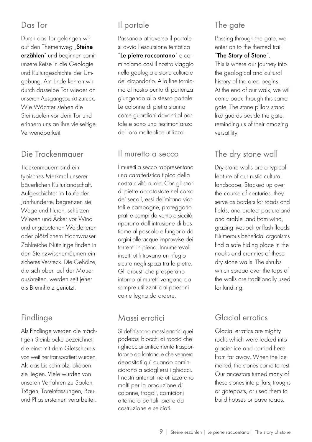#### Das Tor

Durch das Tor gelangen wir auf den Themenweg "Steine erzählen" und beginnen somit unsere Reise in die Geologie und Kulturgeschichte der Umgebung. Am Ende kehren wir durch dasselbe Tor wieder an unseren Ausgangspunkt zurück. Wie Wächter stehen die Steinsäulen vor dem Tor und erinnern uns an ihre vielseitige Verwendbarkeit.

#### Die Trockenmauer

Trockenmauern sind ein typisches Merkmal unserer bäuerlichen Kulturlandschaft. Aufgeschichtet im Laufe der Jahrhunderte, begrenzen sie Wege und Fluren, schützen Wiesen und Äcker vor Wind und ungebetenen Weidetieren oder plötzlichem Hochwasser. Zahlreiche Nützlinge finden in den Steinzwischenräumen ein sicheres Versteck. Die Gehölze, die sich oben auf der Mauer ausbreiten, werden seit jeher als Brennholz genutzt.

# Findlinge

Als Findlinge werden die mächtigen Steinblöcke bezeichnet, die einst mit dem Gletschereis von weit her transportiert wurden. Als das Eis schmolz, blieben sie liegen. Viele wurden von unseren Vorfahren zu Säulen, Trögen, Toreinfassungen, Bauund Pflastersteinen verarbeitet.

# Il portale

Passando attraverso il portale si avvia l'escursione tematica "Le pietre raccontano" e cominciamo così il nostro viaggio nella geologia e storia culturale del circondario. Alla fine torniamo al nostro punto di partenza giungendo allo stesso portale. Le colonne di pietra stanno come guardiani davanti al portale e sono una testimonianza del loro molteplice utilizzo.

#### Il muretto a secco

I muretti a secco rappresentano una caratteristica tipica della nostra civiltà rurale. Con gli strati di pietre accatastate nel corso dei secoli, essi delimitano viottoli e campagne, proteggono prati e campi da vento e siccità, riparano dall'intrusione di bestiame al pascolo e fungono da argini alle acque improvvise dei torrenti in piena. Innumerevoli insetti utili trovano un rifugio sicuro negli spazi tra le pietre. Gli arbusti che prosperano intorno ai muretti vengono da sempre utilizzati dai paesani come legna da ardere.

#### Massi erratici

Si definiscono massi erratici quei poderosi blocchi di roccia che i ghiacciai anticamente trasportarono da lontano e che vennero depositati qui quando cominciarono a sciogliersi i ghiacci. I nostri antenati ne utilizzarono molti per la produzione di colonne, trogoli, cornicioni attorno a portali, pietre da costruzione e selciati.

# The gate

Passing through the gate, we enter on to the themed trail

#### "The Story of Stone".

This is where our journey into the geological and cultural history of the area begins. At the end of our walk, we will come back through this same gate. The stone pillars stand like guards beside the gate, reminding us of their amazing versatility.

# The dry stone wall

Dry stone walls are a typical feature of our rustic cultural landscape. Stacked up over the course of centuries, they serve as borders for roads and fields, and protect pastureland and arable land from wind, grazing livestock or flash floods. Numerous beneficial organisms find a safe hiding place in the nooks and crannies of these dry stone walls. The shrubs which spread over the tops of the walls are traditionally used for kindling.

# Glacial erratics

Glacial erratics are mighty rocks which were locked into glacier ice and carried here from far away. When the ice melted, the stones came to rest. Our ancestors turned many of these stones into pillars, troughs or gateposts, or used them to build houses or pave roads.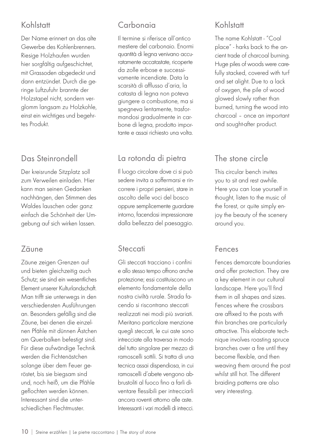# Kohlstatt

Der Name erinnert an das alte Gewerbe des Kohlenbrenners. Riesige Holzhaufen wurden hier sorgfältig aufgeschichtet, mit Grassoden abgedeckt und dann entzündet. Durch die geringe Luftzufuhr brannte der Holzstapel nicht, sondern verglomm langsam zu Holzkohle, einst ein wichtiges und begehrtes Produkt.

# Das Steinrondell

Der kreisrunde Sitzplatz soll zum Verweilen einladen. Hier kann man seinen Gedanken nachhängen, den Stimmen des Waldes lauschen oder ganz einfach die Schönheit der Umgebung auf sich wirken lassen.

# Zäune

Zäune zeigen Grenzen auf und bieten gleichzeitig auch Schutz; sie sind ein wesentliches Element unserer Kulturlandschaft. Man trifft sie unterwegs in den verschiedensten Ausführungen an. Besonders gefällig sind die Zäune, bei denen die einzelnen Pfähle mit dünnen Ästchen am Querbalken befestigt sind. Für diese aufwändige Technik werden die Fichtenästchen solange über dem Feuer geröstet, bis sie biegsam sind und, noch heiß, um die Pfähle geflochten werden können. Interessant sind die unterschiedlichen Flechtmuster.

# Carbonaia

Il termine si riferisce all'antico mestiere del carbonaio. Enormi quantità di legna venivano accuratamente accatastate, ricoperte da zolle erbose e successivamente incendiate. Data la scarsità di afflusso d'aria, la catasta di legna non poteva giungere a combustione, ma si spegneva lentamente, trasformandosi gradualmente in carbone di legna, prodotto importante e assai richiesto una volta.

# La rotonda di pietra

Il luogo circolare dove ci si può sedere invita a soffermarsi e rincorrere i propri pensieri, stare in ascolto delle voci del bosco oppure semplicemente guardare intorno, facendosi impressionare dalla bellezza del paesaggio.

#### **Steccati**

Gli steccati tracciano i confini e allo stesso tempo offrono anche protezione; essi costituiscono un elemento fondamentale della nostra civiltà rurale. Strada facendo si riscontrano steccati realizzati nei modi più svariati. Meritano particolare menzione quegli steccati, le cui aste sono intrecciate alla traversa in modo del tutto singolare per mezzo di ramoscelli sottili. Si tratta di una tecnica assai dispendiosa, in cui ramoscelli d'abete vengono abbrustoliti al fuoco fino a farli diventare flessibili per intrecciarli ancora roventi attorno alle aste. Interessanti i vari modelli di intrecci.

# Kohlstatt

The name Kohlstatt - "Coal place" - harks back to the ancient trade of charcoal burning. Huge piles of woods were carefully stacked, covered with turf and set alight. Due to a lack of oxygen, the pile of wood glowed slowly rather than burned, turning the wood into charcoal – once an important and sought-after product.

## The stone circle

This circular bench invites you to sit and rest awhile. Here you can lose yourself in thought, listen to the music of the forest, or quite simply enjoy the beauty of the scenery around you.

#### Fences

Fences demarcate boundaries and offer protection. They are a key element in our cultural landscape. Here you'll find them in all shapes and sizes. Fences where the crossbars are affixed to the posts with thin branches are particularly attractive. This elaborate technique involves roasting spruce branches over a fire until they become flexible, and then weaving them around the post whilst still hot. The different braiding patterns are also very interesting.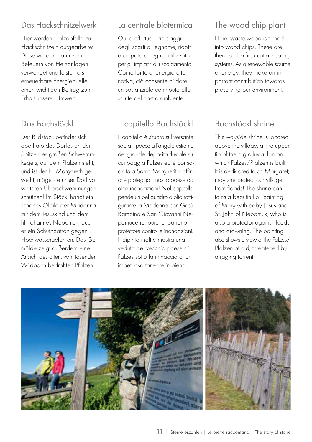# Das Hackschnitzelwerk

Hier werden Holzabfälle zu Hackschnitzeln aufgearbeitet. Diese werden dann zum Befeuern von Heizanlagen verwendet und leisten als erneuerbare Energiequelle einen wichtigen Beitrag zum Erhalt unserer Umwelt.

# Das Bachstöckl

Der Bildstock befindet sich oberhalb des Dorfes an der Spitze des großen Schwemmkegels, auf dem Pfalzen steht, und ist der hl. Margareth geweiht; möge sie unser Dorf vor weiteren Überschwemmungen schützen! Im Stöckl hängt ein schönes Ölbild der Madonna mit dem Jesuskind und dem hl. Johannes Nepomuk, auch er ein Schutzpatron gegen Hochwassergefahren. Das Gemälde zeigt außerdem eine Ansicht des alten, vom tosenden Wildbach bedrohten Pfalzen.

#### La centrale biotermica

Qui si effettua il riciclaggio degli scarti di legname, ridotti a cippato di legna, utilizzato per gli impianti di riscaldamento. Come fonte di energia alternativa, ciò consente di dare un sostanziale contributo alla salute del nostro ambiente.

# Il capitello Bachstöckl

Il capitello è situato sul versante sopra il paese all'angolo estremo del grande deposito fluviale su cui poggia Falzes ed è consacrato a Santa Margherita; affinché protegga il nostro paese da altre inondazioni! Nel capitello pende un bel quadro a olio raffigurante la Madonna con Gesù Bambino e San Giovanni Nepomuceno, pure lui patrono protettore contro le inondazioni. Il dipinto inoltre mostra una veduta del vecchio paese di Falzes sotto la minaccia di un impetuoso torrente in piena.

# The wood chip plant

Here, waste wood is turned into wood chips. These are then used to fire central heating systems. As a renewable source of energy, they make an important contribution towards preserving our environment.

# Bachstöckl shrine

This wayside shrine is located above the village, at the upper tip of the big alluvial fan on which Falzes/Pfalzen is built. It is dedicated to St. Margaret; may she protect our village from floods! The shrine contains a beautiful oil painting of Mary with baby Jesus and St. John of Nepomuk, who is also a protector against floods and drowning. The painting also shows a view of the Falzes/ Pfalzen of old, threatened by a raging torrent.

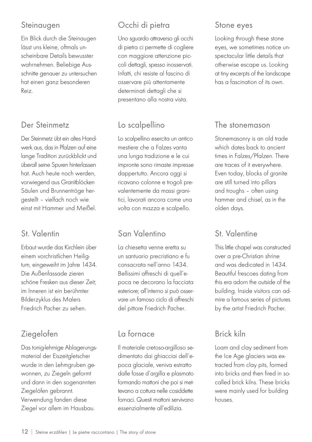#### Steinaugen

Ein Blick durch die Steinaugen lässt uns kleine, oftmals unscheinbare Details bewusster wahrnehmen. Beliebige Ausschnitte genauer zu untersuchen hat einen ganz besonderen Reiz.

## Der Steinmetz

Der Steinmetz übt ein altes Handwerk aus, das in Pfalzen auf eine lange Tradition zurückblickt und überall seine Spuren hinterlassen hat. Auch heute noch werden, vorwiegend aus Granitblöcken Säulen und Brunnentröge hergestellt – vielfach noch wie einst mit Hammer und Meißel.

#### St. Valentin

Erbaut wurde das Kirchlein über einem vorchristlichen Heiligtum, eingeweiht im Jahre 1434. Die Außenfassade zieren schöne Fresken aus dieser Zeit; im Inneren ist ein berühmter Bilderzyklus des Malers Friedrich Pacher zu sehen.

# Ziegelofen

Das tonig-lehmige Ablagerungsmaterial der Eiszeitgletscher wurde in den Lehmgruben gewonnen, zu Ziegeln geformt und dann in den sogenannten Ziegelöfen gebrannt. Verwendung fanden diese Ziegel vor allem im Hausbau.

# Occhi di pietra

Uno sguardo attraverso gli occhi di pietra ci permette di cogliere con maggiore attenzione piccoli dettagli, spesso inosservati. Infatti, chi resiste al fascino di osservare più attentamente determinati dettagli che si presentano alla nostra vista.

# Lo scalpellino

Lo scalpellino esercita un antico mestiere che a Falzes vanta una lunga tradizione e le cui impronte sono rimaste impresse dappertutto. Ancora oggi si ricavano colonne e trogoli prevalentemente da massi granitici, lavorati ancora come una volta con mazza e scalpello.

# San Valentino

La chiesetta venne eretta su un santuario precristiano e fu consacrata nell'anno 1434. Bellissimi affreschi di quell'epoca ne decorano la facciata esteriore; all'interno si può osservare un famoso ciclo di affreschi del pittore Friedrich Pacher.

# La fornace

Il materiale cretoso-argilloso sedimentato dai ghiacciai dell'epoca glaciale, veniva estratto dalle fosse d'argilla e plasmato formando mattoni che poi si mettevano a cottura nelle cosiddette fornaci. Questi mattoni servivano essenzialmente all'edilizia.

#### Stone eyes

Looking through these stone eyes, we sometimes notice unspectacular little details that otherwise escape us. Looking at tiny excerpts of the landscape has a fascination of its own.

#### The stonemason

Stonemasonry is an old trade which dates back to ancient times in Falzes/Pfalzen. There are traces of it everywhere. Even today, blocks of granite are still turned into pillars and troughs – often using hammer and chisel, as in the olden days.

# St. Valentine

This little chapel was constructed over a pre-Christian shrine and was dedicated in 1434. Beautiful frescoes dating from this era adorn the outside of the building. Inside visitors can admire a famous series of pictures by the artist Friedrich Pacher.

# Brick kiln

Loam and clay sediment from the Ice Age glaciers was extracted from clay pits, formed into bricks and then fired in socalled brick kilns. These bricks were mainly used for building houses.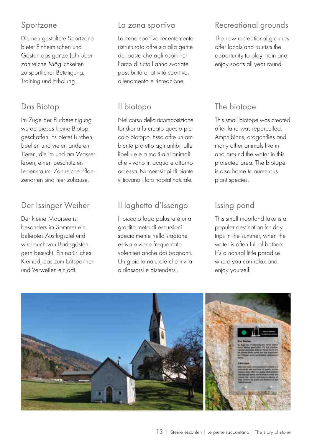#### Sportzone

Die neu gestaltete Sportzone bietet Einheimischen und Gästen das ganze Jahr über zahlreiche Möglichkeiten zu sportlicher Betätigung, Training und Erholung.

## Das Biotop

Im Zuge der Flurbereinigung wurde dieses kleine Biotop geschaffen. Es bietet Lurchen, Libellen und vielen anderen Tieren, die im und am Wasser leben, einen geschützten Lebensraum. Zahlreiche Pflanzenarten sind hier zuhause.

## Der Issinger Weiher

Der kleine Moorsee ist besonders im Sommer ein beliebtes Ausflugsziel und wird auch von Badegästen gern besucht. Ein natürliches Kleinod, das zum Entspannen und Verweilen einlädt.

#### La zona sportiva

La zona sportiva recentemente ristrutturata offre sia alla gente del posto che agli ospiti nell'arco di tutto l'anno svariate possibilità di attività sportiva, allenamento e ricreazione.

# Il biotopo

Nel corso della ricomposizione fondiaria fu creato questo piccolo biotopo. Esso offre un ambiente protetto agli anfibi, alle libellule e a molti altri animali che vivono in acqua e attorno ad essa. Numerosi tipi di piante vi trovano il loro habitat naturale.

# Il laghetto d'Issengo

Il piccolo lago palustre è una gradita meta di escursioni specialmente nella stagione estiva e viene frequentato volentieri anche dai bagnanti. Un gioiello naturale che invita a rilassarsi e distendersi.

# Recreational grounds

The new recreational grounds offer locals and tourists the opportunity to play, train and enjoy sports all year round.

# The biotope

This small biotope was created after land was reparcelled. Amphibians, dragonflies and many other animals live in and around the water in this protected area. The biotope is also home to numerous plant species.

# Issing pond

This small moorland lake is a popular destination for day trips in the summer, when the water is often full of bathers. It's a natural little paradise where you can relax and enjoy yourself.

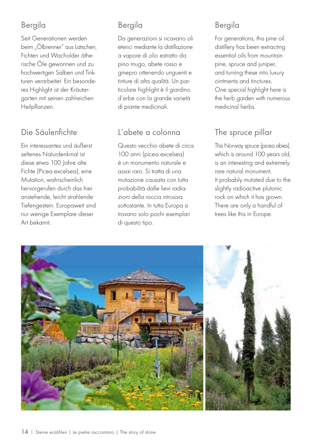# Bergila

Seit Generationen werden beim "Ölbrenner" aus Latschen, Fichten und Wacholder ätherische Öle gewonnen und zu hochwertigen Salben und Tinkturen verarbeitet. Ein besonderes Highlight ist der Kräutergarten mit seinen zahlreichen Heilpflanzen.

# Die Säulenfichte

Ein interessantes und äußerst seltenes Naturdenkmal ist diese etwa 100 Jahre alte Fichte (Picea excelsea), eine Mutation, wahrscheinlich hervorgerufen durch das hier anstehende, leicht strahlende Tiefengestein. Europaweit sind nur wenige Exemplare dieser Art bekannt.

# Bergila

Da generazioni si ricavano oli eterici mediante la distillazione a vapore di olio estratto da pino mugo, abete rosso e ginepro ottenendo unguenti e tinture di alta qualità. Un particolare highlight è il giardino d'erbe con la grande varietà di piante medicinali.

# L'abete a colonna

Questo vecchio abete di circa 100 anni (picea excelsea) è un monumento naturale e assai raro. Si tratta di una mutazione causata con tutta probabilità dalle lievi radiazioni della roccia intrusiva sottostante. In tutta Europa si trovano solo pochi esemplari di questo tipo.

# Bergila

For generations, this pine oil distillery has been extracting essential oils from mountain pine, spruce and juniper, and turning these into luxury ointments and tinctures. One special highlight here is the herb garden with numerous medicinal herbs.

# The spruce pillar

This Norway spruce (picea abies), which is around 100 years old, is an interesting and extremely rare natural monument. It probably mutated due to the slightly radioactive plutonic rock on which it has grown. There are only a handful of trees like this in Europe.

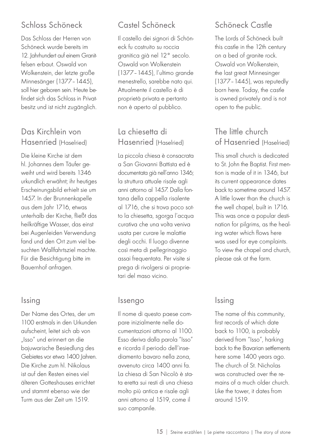# Schloss Schöneck

Das Schloss der Herren von Schöneck wurde bereits im 12. Jahrhundert auf einem Granitfelsen erbaut. Oswald von Wolkenstein, der letzte große Minnesänger (1377–1445), soll hier geboren sein. Heute befindet sich das Schloss in Privatbesitz und ist nicht zugänglich.

#### Das Kirchlein von Hasenried (Haselried)

Die kleine Kirche ist dem hl. Johannes dem Täufer geweiht und wird bereits 1346 urkundlich erwähnt; ihr heutiges Erscheinungsbild erhielt sie um 1457. In der Brunnenkapelle aus dem Jahr 1716, etwas unterhalb der Kirche, fließt das heilkräftige Wasser, das einst bei Augenleiden Verwendung fand und den Ort zum viel besuchten Wallfahrtsziel machte. Für die Besichtigung bitte im Bauernhof anfragen.

# Issing

Der Name des Ortes, der um 1100 erstmals in den Urkunden aufscheint, leitet sich ab von "Isso" und erinnert an die bajuwarische Besiedlung des Gebietes vor etwa 1400 Jahren. Die Kirche zum hl. Nikolaus ist auf den Resten eines viel älteren Gotteshauses errichtet und stammt ebenso wie der Turm aus der Zeit um 1519.

# Castel Schöneck

Il castello dei signori di Schöneck fu costruito su roccia granitica già nel 12° secolo. Oswald von Wolkenstein (1377–1445), l'ultimo grande menestrello, sarebbe nato qui. Attualmente il castello è di proprietà privata e pertanto non è aperto al pubblico.

#### La chiesetta di Hasenried (Haselried)

La piccola chiesa è consacrata a San Giovanni Battista ed è documentata già nell'anno 1346; la struttura attuale risale agli anni attorno al 1457. Dalla fontana della cappella risalente al 1716, che si trova poco sotto la chiesetta, sgorga l'acqua curativa che una volta veniva usata per curare le malattie degli occhi. Il luogo divenne così meta di pellegrinaggio assai frequentata. Per visite si prega di rivolgersi ai proprietari del maso vicino.

#### Issengo

Il nome di questo paese compare inizialmente nelle documentazioni attorno al 1100. Esso deriva dalla parola "Isso" e ricorda il periodo dell'insediamento bavaro nella zona, avvenuto circa 1400 anni fa. La chiesa di San Nicolò è stata eretta sui resti di una chiesa molto più antica e risale agli anni attorno al 1519, come il suo campanile.

# Schöneck Castle

The Lords of Schöneck built this castle in the 12th century on a bed of granite rock. Oswald von Wolkenstein, the last great Minnesinger (1377–1445), was reputedly born here. Today, the castle is owned privately and is not open to the public.

#### The little church of Hasenried (Haselried)

This small church is dedicated to St. John the Baptist. First mention is made of it in 1346, but its current appearance dates back to sometime around 1457. A little lower than the church is the well chapel, built in 1716. This was once a popular destination for pilgrims, as the healing water which flows here was used for eye complaints. To view the chapel and church, please ask at the farm.

# Issing

The name of this community, first records of which date back to 1100, is probably derived from "Isso", harking back to the Bavarian settlements here some 1400 years ago. The church of St. Nicholas was constructed over the remains of a much older church. Like the tower, it dates from around 1519.